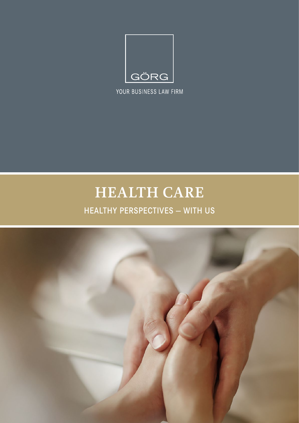

YOUR BUSINESS LAW FIRM

# HEALTH CARE

# **HEALTHY PERSPECTIVES - WITH US**

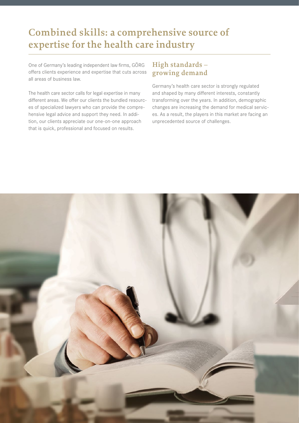# **Combined skills: a comprehensive source of expertise for the health care industry**

One of Germany's leading independent law firms, GÖRG offers clients experience and expertise that cuts across all areas of business law.

The health care sector calls for legal expertise in many different areas. We offer our clients the bundled resources of specialized lawyers who can provide the comprehensive legal advice and support they need. In addition, our clients appreciate our one-on-one approach that is quick, professional and focused on results.

### **High standards – growing demand**

Germany's health care sector is strongly regulated and shaped by many different interests, constantly transforming over the years. In addition, demographic changes are increasing the demand for medical services. As a result, the players in this market are facing an unprecedented source of challenges.

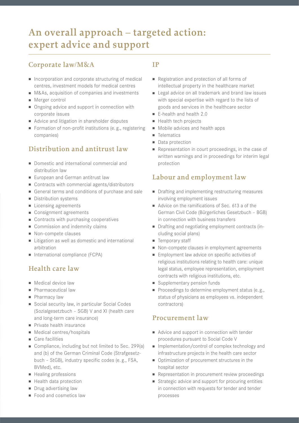# **An overall approach – targeted action: expert advice and support**

### **Corporate law/M&A**

- $\blacksquare$  Incorporation and corporate structuring of medical centres, investment models for medical centres
- M&As, acquisition of companies and investments
- Merger control
- Ongoing advice and support in connection with corporate issues
- Advice and litigation in shareholder disputes
- Formation of non-profit institutions (e.g., registering companies)

## **Distribution and antitrust law**

- Domestic and international commercial and distribution law
- European and German antitrust law
- $\blacksquare$  Contracts with commercial agents/distributors
- General terms and conditions of purchase and sale
- **n** Distribution systems
- Licensing agreements
- Consignment agreements
- $\blacksquare$  Contracts with purchasing cooperatives
- Commission and indemnity claims
- Non-compete clauses
- Litigation as well as domestic and international arbitration
- International compliance (FCPA)

### **Health care law**

- $\blacksquare$  Medical device law
- **Pharmaceutical law**
- **n** Pharmacy law
- Social security law, in particular Social Codes (Sozialgesetzbuch – SGB) V and XI (health care and long-term care insurance)
- **n** Private health insurance
- Medical centres/hospitals
- $\blacksquare$  Care facilities
- Compliance, including but not limited to Sec. 299(a) and (b) of the German Criminal Code (Strafgesetzbuch – StGB), industry specific codes (e. g., FSA, BVMed), etc.
- Healing professions
- **Health data protection**
- Drug advertising law
- $\blacksquare$  Food and cosmetics law

#### **IP**

- <sup>n</sup> Registration and protection of all forms of intellectual property in the healthcare market
- Legal advice on all trademark and brand law issues with special expertise with regard to the lists of goods and services in the healthcare sector
- $\blacksquare$  E-health and health 2.0
- Health tech projects
- Mobile advices and health apps
- **n** Telematics
- Data protection
- Representation in court proceedings, in the case of written warnings and in proceedings for interim legal protection

### **Labour and employment law**

- n Drafting and implementing restructuring measures involving employment issues
- Advice on the ramifications of Sec. 613 a of the German Civil Code (Bürgerliches Gesetzbuch – BGB) in connection with business transfers
- Drafting and negotiating employment contracts (including social plans)
- Temporary staff
- Non-compete clauses in employment agreements
- **Employment law advice on specific activities of** religious institutions relating to health care: unique legal status, employee representation, employment contracts with religious institutions, etc.
- supplementary pension funds
- Proceedings to determine employment status (e.g., status of physicians as employees vs. independent contractors)

#### **Procurement law**

- $\blacksquare$  Advice and support in connection with tender procedures pursuant to Social Code V
- n Implementation/control of complex technology and infrastructure projects in the health care sector
- Optimization of procurement structures in the hospital sector
- Representation in procurement review proceedings
- Strategic advice and support for procuring entities in connection with requests for tender and tender processes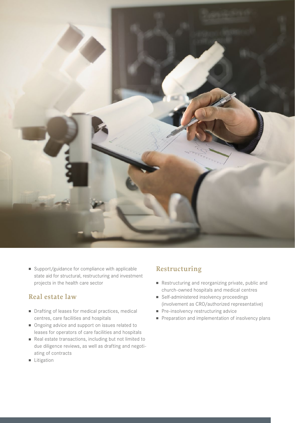

 $\blacksquare$  Support/guidance for compliance with applicable state aid for structural, restructuring and investment projects in the health care sector

#### **Real estate law**

- Drafting of leases for medical practices, medical centres, care facilities and hospitals
- Ongoing advice and support on issues related to leases for operators of care facilities and hospitals
- Real estate transactions, including but not limited to due diligence reviews, as well as drafting and negotiating of contracts
- **n** Litigation

## **Restructuring**

- n Restructuring and reorganizing private, public and church-owned hospitals and medical centres
- Self-administered insolvency proceedings (involvement as CRO/authorized representative)
- $\blacksquare$  Pre-insolvency restructuring advice
- **Preparation and implementation of insolvency plans**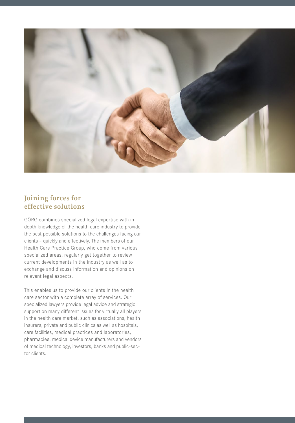

### **Joining forces for effective solutions**

GÖRG combines specialized legal expertise with indepth knowledge of the health care industry to provide the best possible solutions to the challenges facing our clients – quickly and effectively. The members of our Health Care Practice Group, who come from various specialized areas, regularly get together to review current developments in the industry as well as to exchange and discuss information and opinions on relevant legal aspects.

This enables us to provide our clients in the health care sector with a complete array of services. Our specialized lawyers provide legal advice and strategic support on many different issues for virtually all players in the health care market, such as associations, health insurers, private and public clinics as well as hospitals, care facilities, medical practices and laboratories, pharmacies, medical device manufacturers and vendors of medical technology, investors, banks and public-sector clients.